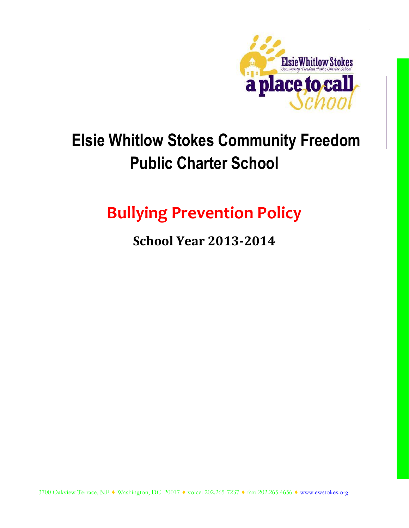

# **Elsie Whitlow Stokes Community Freedom Public Charter School**

# **Bullying Prevention Policy**

# **School Year 2013-2014**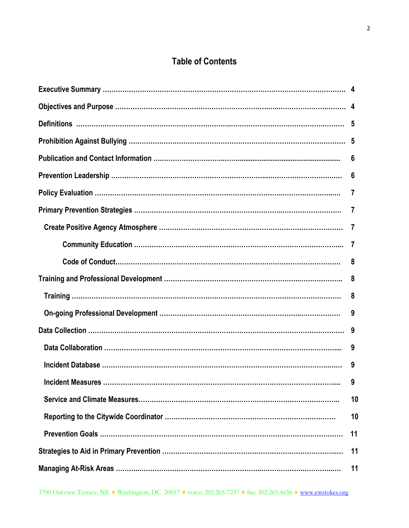### **Table of Contents**

|                          | 6        |
|--------------------------|----------|
|                          | 6        |
|                          | 7        |
|                          | $\prime$ |
|                          |          |
|                          |          |
|                          | 8        |
|                          | 8        |
|                          | 8        |
|                          | 9        |
|                          |          |
|                          | 9        |
|                          | 9        |
| <b>Incident Measures</b> | 9        |
|                          | 10       |
|                          | 10       |
|                          | 11       |
|                          | 11       |
|                          | 11       |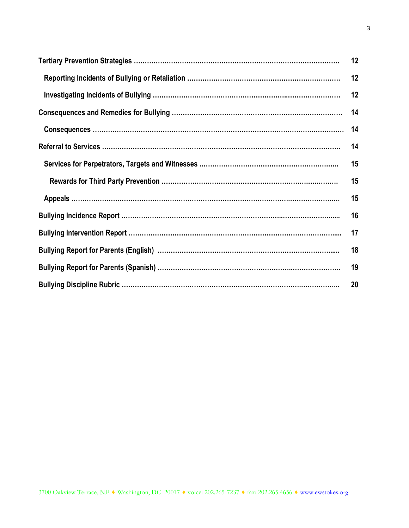| 12 |
|----|
| 12 |
| 12 |
| 14 |
| 14 |
| 14 |
| 15 |
| 15 |
| 15 |
| 16 |
| 17 |
| 18 |
| 19 |
| 20 |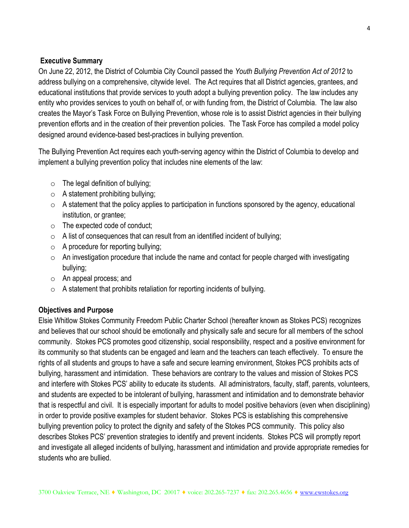#### **Executive Summary**

On June 22, 2012, the District of Columbia City Council passed the *Youth Bullying Prevention Act of 2012* to address bullying on a comprehensive, citywide level. The Act requires that all District agencies, grantees, and educational institutions that provide services to youth adopt a bullying prevention policy. The law includes any entity who provides services to youth on behalf of, or with funding from, the District of Columbia. The law also creates the Mayor's Task Force on Bullying Prevention, whose role is to assist District agencies in their bullying prevention efforts and in the creation of their prevention policies. The Task Force has compiled a model policy designed around evidence-based best-practices in bullying prevention.

The Bullying Prevention Act requires each youth-serving agency within the District of Columbia to develop and implement a bullying prevention policy that includes nine elements of the law:

- $\circ$  The legal definition of bullying;
- $\circ$  A statement prohibiting bullying;
- $\circ$  A statement that the policy applies to participation in functions sponsored by the agency, educational institution, or grantee;
- $\circ$  The expected code of conduct;
- $\circ$  A list of consequences that can result from an identified incident of bullying;
- $\circ$  A procedure for reporting bullying;
- $\circ$  An investigation procedure that include the name and contact for people charged with investigating bullying;
- o An appeal process; and
- $\circ$  A statement that prohibits retaliation for reporting incidents of bullying.

#### **Objectives and Purpose**

Elsie Whitlow Stokes Community Freedom Public Charter School (hereafter known as Stokes PCS) recognizes and believes that our school should be emotionally and physically safe and secure for all members of the school community. Stokes PCS promotes good citizenship, social responsibility, respect and a positive environment for its community so that students can be engaged and learn and the teachers can teach effectively. To ensure the rights of all students and groups to have a safe and secure learning environment, Stokes PCS prohibits acts of bullying, harassment and intimidation. These behaviors are contrary to the values and mission of Stokes PCS and interfere with Stokes PCS' ability to educate its students. All administrators, faculty, staff, parents, volunteers, and students are expected to be intolerant of bullying, harassment and intimidation and to demonstrate behavior that is respectful and civil. It is especially important for adults to model positive behaviors (even when disciplining) in order to provide positive examples for student behavior. Stokes PCS is establishing this comprehensive bullying prevention policy to protect the dignity and safety of the Stokes PCS community. This policy also describes Stokes PCS' prevention strategies to identify and prevent incidents. Stokes PCS will promptly report and investigate all alleged incidents of bullying, harassment and intimidation and provide appropriate remedies for students who are bullied.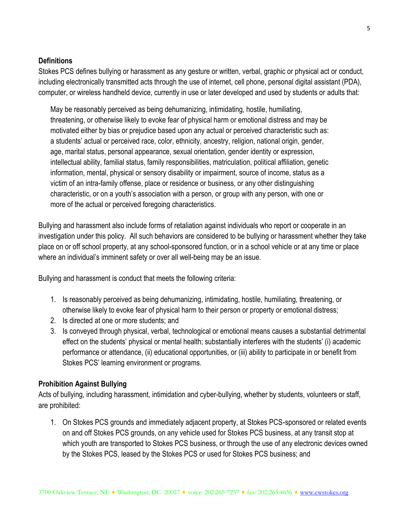#### **Definitions**

Stokes PCS defines bullying or harassment as any gesture or written, verbal, graphic or physical act or conduct, including electronically transmitted acts through the use of internet, cell phone, personal digital assistant (PDA), computer, or wireless handheld device, currently in use or later developed and used by students or adults that:

May be reasonably perceived as being dehumanizing, intimidating, hostile, humiliating, threatening, or otherwise likely to evoke fear of physical harm or emotional distress and may be motivated either by bias or prejudice based upon any actual or perceived characteristic such as: a students' actual or perceived race, color, ethnicity, ancestry, religion, national origin, gender, age, marital status, personal appearance, sexual orientation, gender identity or expression, intellectual ability, familial status, family responsibilities, matriculation, political affiliation, genetic information, mental, physical or sensory disability or impairment, source of income, status as a victim of an intra-family offense, place or residence or business, or any other distinguishing characteristic, or on a youth's association with a person, or group with any person, with one or more of the actual or perceived foregoing characteristics.

Bullying and harassment also include forms of retaliation against individuals who report or cooperate in an investigation under this policy. All such behaviors are considered to be bullying or harassment whether they take place on or off school property, at any school-sponsored function, or in a school vehicle or at any time or place where an individual's imminent safety or over all well-being may be an issue.

Bullying and harassment is conduct that meets the following criteria:

- 1. Is reasonably perceived as being dehumanizing, intimidating, hostile, humiliating, threatening, or otherwise likely to evoke fear of physical harm to their person or property or emotional distress;
- 2. Is directed at one or more students; and
- 3. Is conveyed through physical, verbal, technological or emotional means causes a substantial detrimental effect on the students' physical or mental health; substantially interferes with the students' (i) academic performance or attendance, (ii) educational opportunities, or (iii) ability to participate in or benefit from Stokes PCS' learning environment or programs.

#### **Prohibition Against Bullying**

Acts of bullying, including harassment, intimidation and cyber-bullying, whether by students, volunteers or staff, are prohibited:

1. On Stokes PCS grounds and immediately adjacent property, at Stokes PCS-sponsored or related events on and off Stokes PCS grounds, on any vehicle used for Stokes PCS business, at any transit stop at which youth are transported to Stokes PCS business, or through the use of any electronic devices owned by the Stokes PCS, leased by the Stokes PCS or used for Stokes PCS business; and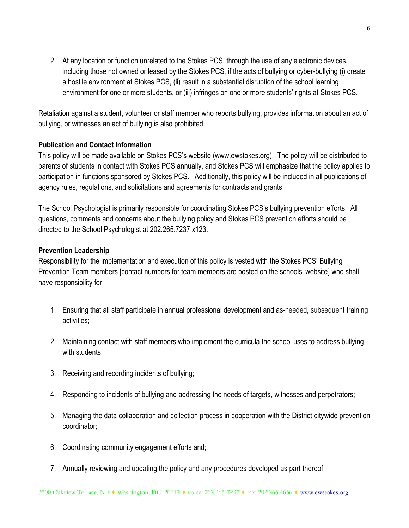2. At any location or function unrelated to the Stokes PCS, through the use of any electronic devices, including those not owned or leased by the Stokes PCS, if the acts of bullying or cyber-bullying (i) create a hostile environment at Stokes PCS, (ii) result in a substantial disruption of the school learning environment for one or more students, or (iii) infringes on one or more students' rights at Stokes PCS.

Retaliation against a student, volunteer or staff member who reports bullying, provides information about an act of bullying, or witnesses an act of bullying is also prohibited.

#### **Publication and Contact Information**

This policy will be made available on Stokes PCS's website (www.ewstokes.org). The policy will be distributed to parents of students in contact with Stokes PCS annually, and Stokes PCS will emphasize that the policy applies to participation in functions sponsored by Stokes PCS. Additionally, this policy will be included in all publications of agency rules, regulations, and solicitations and agreements for contracts and grants.

The School Psychologist is primarily responsible for coordinating Stokes PCS's bullying prevention efforts. All questions, comments and concerns about the bullying policy and Stokes PCS prevention efforts should be directed to the School Psychologist at 202.265.7237 x123.

#### **Prevention Leadership**

Responsibility for the implementation and execution of this policy is vested with the Stokes PCS' Bullying Prevention Team members [contact numbers for team members are posted on the schools' website] who shall have responsibility for:

- 1. Ensuring that all staff participate in annual professional development and as-needed, subsequent training activities;
- 2. Maintaining contact with staff members who implement the curricula the school uses to address bullying with students;
- 3. Receiving and recording incidents of bullying;
- 4. Responding to incidents of bullying and addressing the needs of targets, witnesses and perpetrators;
- 5. Managing the data collaboration and collection process in cooperation with the District citywide prevention coordinator;
- 6. Coordinating community engagement efforts and;
- 7. Annually reviewing and updating the policy and any procedures developed as part thereof.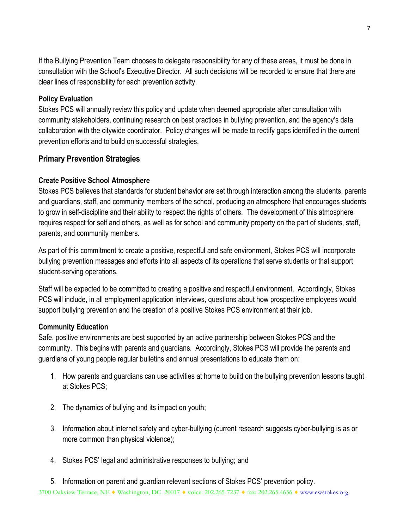If the Bullying Prevention Team chooses to delegate responsibility for any of these areas, it must be done in consultation with the School's Executive Director. All such decisions will be recorded to ensure that there are clear lines of responsibility for each prevention activity.

#### **Policy Evaluation**

Stokes PCS will annually review this policy and update when deemed appropriate after consultation with community stakeholders, continuing research on best practices in bullying prevention, and the agency's data collaboration with the citywide coordinator. Policy changes will be made to rectify gaps identified in the current prevention efforts and to build on successful strategies.

#### **Primary Prevention Strategies**

#### **Create Positive School Atmosphere**

Stokes PCS believes that standards for student behavior are set through interaction among the students, parents and guardians, staff, and community members of the school, producing an atmosphere that encourages students to grow in self-discipline and their ability to respect the rights of others. The development of this atmosphere requires respect for self and others, as well as for school and community property on the part of students, staff, parents, and community members.

As part of this commitment to create a positive, respectful and safe environment, Stokes PCS will incorporate bullying prevention messages and efforts into all aspects of its operations that serve students or that support student-serving operations.

Staff will be expected to be committed to creating a positive and respectful environment. Accordingly, Stokes PCS will include, in all employment application interviews, questions about how prospective employees would support bullying prevention and the creation of a positive Stokes PCS environment at their job.

#### **Community Education**

Safe, positive environments are best supported by an active partnership between Stokes PCS and the community. This begins with parents and guardians. Accordingly, Stokes PCS will provide the parents and guardians of young people regular bulletins and annual presentations to educate them on:

- 1. How parents and guardians can use activities at home to build on the bullying prevention lessons taught at Stokes PCS;
- 2. The dynamics of bullying and its impact on youth;
- 3. Information about internet safety and cyber-bullying (current research suggests cyber-bullying is as or more common than physical violence);
- 4. Stokes PCS' legal and administrative responses to bullying; and

3700 Oakview Terrace, NE ♦ Washington, DC 20017 ♦ voice: 202.265-7237 ♦ fax: 202.265.4656 ♦ [www.ewstokes.org](http://www.ewstokes.org/) 5. Information on parent and guardian relevant sections of Stokes PCS' prevention policy.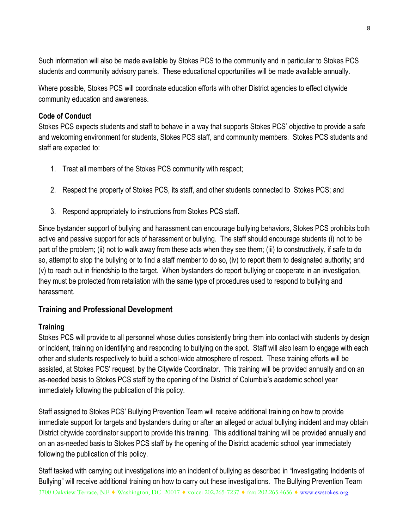Such information will also be made available by Stokes PCS to the community and in particular to Stokes PCS students and community advisory panels. These educational opportunities will be made available annually.

Where possible, Stokes PCS will coordinate education efforts with other District agencies to effect citywide community education and awareness.

#### **Code of Conduct**

Stokes PCS expects students and staff to behave in a way that supports Stokes PCS' objective to provide a safe and welcoming environment for students, Stokes PCS staff, and community members. Stokes PCS students and staff are expected to:

- 1. Treat all members of the Stokes PCS community with respect;
- 2. Respect the property of Stokes PCS, its staff, and other students connected to Stokes PCS; and
- 3. Respond appropriately to instructions from Stokes PCS staff.

Since bystander support of bullying and harassment can encourage bullying behaviors, Stokes PCS prohibits both active and passive support for acts of harassment or bullying. The staff should encourage students (i) not to be part of the problem; (ii) not to walk away from these acts when they see them; (iii) to constructively, if safe to do so, attempt to stop the bullying or to find a staff member to do so, (iv) to report them to designated authority; and (v) to reach out in friendship to the target. When bystanders do report bullying or cooperate in an investigation, they must be protected from retaliation with the same type of procedures used to respond to bullying and harassment.

#### **Training and Professional Development**

#### **Training**

Stokes PCS will provide to all personnel whose duties consistently bring them into contact with students by design or incident, training on identifying and responding to bullying on the spot. Staff will also learn to engage with each other and students respectively to build a school-wide atmosphere of respect. These training efforts will be assisted, at Stokes PCS' request, by the Citywide Coordinator. This training will be provided annually and on an as-needed basis to Stokes PCS staff by the opening of the District of Columbia's academic school year immediately following the publication of this policy.

Staff assigned to Stokes PCS' Bullying Prevention Team will receive additional training on how to provide immediate support for targets and bystanders during or after an alleged or actual bullying incident and may obtain District citywide coordinator support to provide this training. This additional training will be provided annually and on an as-needed basis to Stokes PCS staff by the opening of the District academic school year immediately following the publication of this policy.

3700 Oakview Terrace, NE ♦ Washington, DC 20017 ♦ voice: 202.265-7237 ♦ fax: 202.265.4656 ♦ [www.ewstokes.org](http://www.ewstokes.org/) Staff tasked with carrying out investigations into an incident of bullying as described in "Investigating Incidents of Bullying" will receive additional training on how to carry out these investigations. The Bullying Prevention Team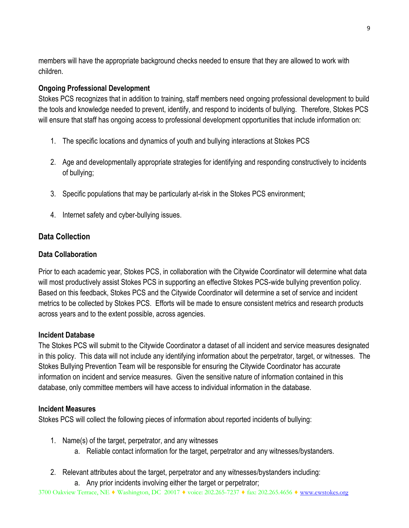members will have the appropriate background checks needed to ensure that they are allowed to work with children.

#### **Ongoing Professional Development**

Stokes PCS recognizes that in addition to training, staff members need ongoing professional development to build the tools and knowledge needed to prevent, identify, and respond to incidents of bullying. Therefore, Stokes PCS will ensure that staff has ongoing access to professional development opportunities that include information on:

- 1. The specific locations and dynamics of youth and bullying interactions at Stokes PCS
- 2. Age and developmentally appropriate strategies for identifying and responding constructively to incidents of bullying;
- 3. Specific populations that may be particularly at-risk in the Stokes PCS environment;
- 4. Internet safety and cyber-bullying issues.

#### **Data Collection**

#### **Data Collaboration**

Prior to each academic year, Stokes PCS, in collaboration with the Citywide Coordinator will determine what data will most productively assist Stokes PCS in supporting an effective Stokes PCS-wide bullying prevention policy. Based on this feedback, Stokes PCS and the Citywide Coordinator will determine a set of service and incident metrics to be collected by Stokes PCS. Efforts will be made to ensure consistent metrics and research products across years and to the extent possible, across agencies.

#### **Incident Database**

The Stokes PCS will submit to the Citywide Coordinator a dataset of all incident and service measures designated in this policy. This data will not include any identifying information about the perpetrator, target, or witnesses. The Stokes Bullying Prevention Team will be responsible for ensuring the Citywide Coordinator has accurate information on incident and service measures. Given the sensitive nature of information contained in this database, only committee members will have access to individual information in the database.

#### **Incident Measures**

Stokes PCS will collect the following pieces of information about reported incidents of bullying:

- 1. Name(s) of the target, perpetrator, and any witnesses
	- a. Reliable contact information for the target, perpetrator and any witnesses/bystanders.
- 2. Relevant attributes about the target, perpetrator and any witnesses/bystanders including:
	- a. Any prior incidents involving either the target or perpetrator;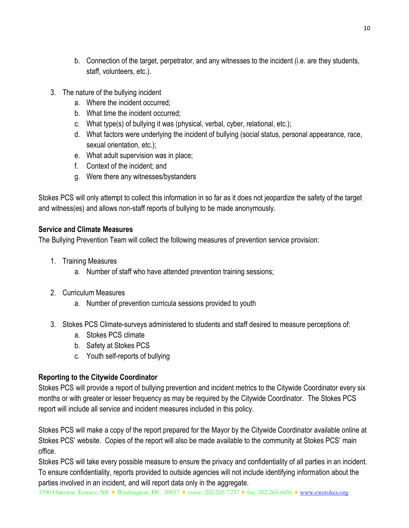- b. Connection of the target, perpetrator, and any witnesses to the incident (i.e. are they students, staff, volunteers, etc.).
- 3. The nature of the bullying incident
	- a. Where the incident occurred;
	- b. What time the incident occurred;
	- c. What type(s) of bullying it was (physical, verbal, cyber, relational, etc.);
	- d. What factors were underlying the incident of bullying (social status, personal appearance, race, sexual orientation, etc.);
	- e. What adult supervision was in place;
	- f. Context of the incident; and
	- g. Were there any witnesses/bystanders

Stokes PCS will only attempt to collect this information in so far as it does not jeopardize the safety of the target and witness(es) and allows non-staff reports of bullying to be made anonymously.

#### **Service and Climate Measures**

The Bullying Prevention Team will collect the following measures of prevention service provision:

- 1. Training Measures
	- a. Number of staff who have attended prevention training sessions;
- 2. Curriculum Measures
	- a. Number of prevention curricula sessions provided to youth
- 3. Stokes PCS Climate-surveys administered to students and staff desired to measure perceptions of:
	- a. Stokes PCS climate
	- b. Safety at Stokes PCS
	- c. Youth self-reports of bullying

#### **Reporting to the Citywide Coordinator**

Stokes PCS will provide a report of bullying prevention and incident metrics to the Citywide Coordinator every six months or with greater or lesser frequency as may be required by the Citywide Coordinator. The Stokes PCS report will include all service and incident measures included in this policy.

Stokes PCS will make a copy of the report prepared for the Mayor by the Citywide Coordinator available online at Stokes PCS' website. Copies of the report will also be made available to the community at Stokes PCS' main office.

Stokes PCS will take every possible measure to ensure the privacy and confidentiality of all parties in an incident. To ensure confidentiality, reports provided to outside agencies will not include identifying information about the parties involved in an incident, and will report data only in the aggregate.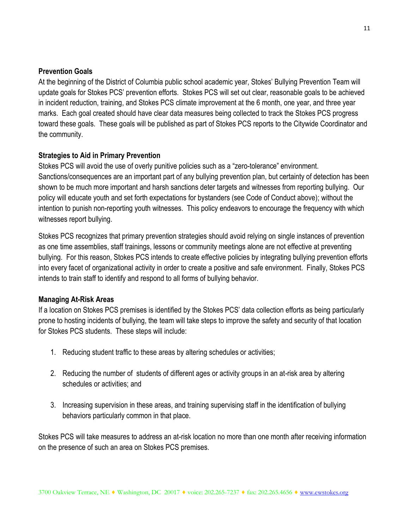#### **Prevention Goals**

At the beginning of the District of Columbia public school academic year, Stokes' Bullying Prevention Team will update goals for Stokes PCS' prevention efforts. Stokes PCS will set out clear, reasonable goals to be achieved in incident reduction, training, and Stokes PCS climate improvement at the 6 month, one year, and three year marks. Each goal created should have clear data measures being collected to track the Stokes PCS progress toward these goals. These goals will be published as part of Stokes PCS reports to the Citywide Coordinator and the community.

#### **Strategies to Aid in Primary Prevention**

Stokes PCS will avoid the use of overly punitive policies such as a "zero-tolerance" environment. Sanctions/consequences are an important part of any bullying prevention plan, but certainty of detection has been shown to be much more important and harsh sanctions deter targets and witnesses from reporting bullying. Our policy will educate youth and set forth expectations for bystanders (see Code of Conduct above); without the intention to punish non-reporting youth witnesses. This policy endeavors to encourage the frequency with which witnesses report bullying.

Stokes PCS recognizes that primary prevention strategies should avoid relying on single instances of prevention as one time assemblies, staff trainings, lessons or community meetings alone are not effective at preventing bullying. For this reason, Stokes PCS intends to create effective policies by integrating bullying prevention efforts into every facet of organizational activity in order to create a positive and safe environment. Finally, Stokes PCS intends to train staff to identify and respond to all forms of bullying behavior.

#### **Managing At-Risk Areas**

If a location on Stokes PCS premises is identified by the Stokes PCS' data collection efforts as being particularly prone to hosting incidents of bullying, the team will take steps to improve the safety and security of that location for Stokes PCS students. These steps will include:

- 1. Reducing student traffic to these areas by altering schedules or activities;
- 2. Reducing the number of students of different ages or activity groups in an at-risk area by altering schedules or activities; and
- 3. Increasing supervision in these areas, and training supervising staff in the identification of bullying behaviors particularly common in that place.

Stokes PCS will take measures to address an at-risk location no more than one month after receiving information on the presence of such an area on Stokes PCS premises.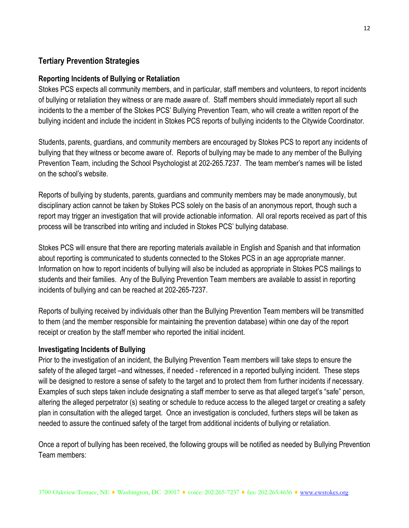#### **Tertiary Prevention Strategies**

#### **Reporting Incidents of Bullying or Retaliation**

Stokes PCS expects all community members, and in particular, staff members and volunteers, to report incidents of bullying or retaliation they witness or are made aware of. Staff members should immediately report all such incidents to the a member of the Stokes PCS' Bullying Prevention Team, who will create a written report of the bullying incident and include the incident in Stokes PCS reports of bullying incidents to the Citywide Coordinator.

Students, parents, guardians, and community members are encouraged by Stokes PCS to report any incidents of bullying that they witness or become aware of. Reports of bullying may be made to any member of the Bullying Prevention Team, including the School Psychologist at 202-265.7237. The team member's names will be listed on the school's website.

Reports of bullying by students, parents, guardians and community members may be made anonymously, but disciplinary action cannot be taken by Stokes PCS solely on the basis of an anonymous report, though such a report may trigger an investigation that will provide actionable information. All oral reports received as part of this process will be transcribed into writing and included in Stokes PCS' bullying database.

Stokes PCS will ensure that there are reporting materials available in English and Spanish and that information about reporting is communicated to students connected to the Stokes PCS in an age appropriate manner. Information on how to report incidents of bullying will also be included as appropriate in Stokes PCS mailings to students and their families. Any of the Bullying Prevention Team members are available to assist in reporting incidents of bullying and can be reached at 202-265-7237.

Reports of bullying received by individuals other than the Bullying Prevention Team members will be transmitted to them (and the member responsible for maintaining the prevention database) within one day of the report receipt or creation by the staff member who reported the initial incident.

#### **Investigating Incidents of Bullying**

Prior to the investigation of an incident, the Bullying Prevention Team members will take steps to ensure the safety of the alleged target –and witnesses, if needed - referenced in a reported bullying incident. These steps will be designed to restore a sense of safety to the target and to protect them from further incidents if necessary. Examples of such steps taken include designating a staff member to serve as that alleged target's "safe" person, altering the alleged perpetrator (s) seating or schedule to reduce access to the alleged target or creating a safety plan in consultation with the alleged target. Once an investigation is concluded, furthers steps will be taken as needed to assure the continued safety of the target from additional incidents of bullying or retaliation.

Once a report of bullying has been received, the following groups will be notified as needed by Bullying Prevention Team members: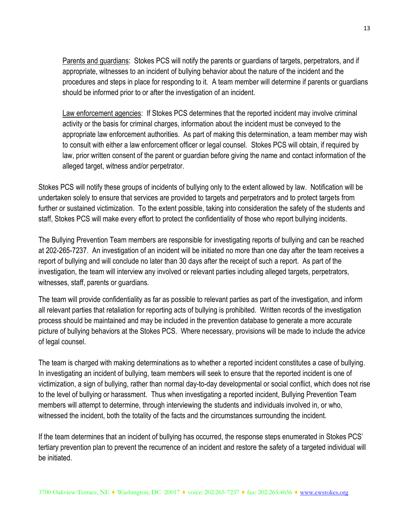Parents and guardians: Stokes PCS will notify the parents or guardians of targets, perpetrators, and if appropriate, witnesses to an incident of bullying behavior about the nature of the incident and the procedures and steps in place for responding to it. A team member will determine if parents or guardians should be informed prior to or after the investigation of an incident.

Law enforcement agencies: If Stokes PCS determines that the reported incident may involve criminal activity or the basis for criminal charges, information about the incident must be conveyed to the appropriate law enforcement authorities. As part of making this determination, a team member may wish to consult with either a law enforcement officer or legal counsel. Stokes PCS will obtain, if required by law, prior written consent of the parent or guardian before giving the name and contact information of the alleged target, witness and/or perpetrator.

Stokes PCS will notify these groups of incidents of bullying only to the extent allowed by law. Notification will be undertaken solely to ensure that services are provided to targets and perpetrators and to protect targets from further or sustained victimization. To the extent possible, taking into consideration the safety of the students and staff, Stokes PCS will make every effort to protect the confidentiality of those who report bullying incidents.

The Bullying Prevention Team members are responsible for investigating reports of bullying and can be reached at 202-265-7237. An investigation of an incident will be initiated no more than one day after the team receives a report of bullying and will conclude no later than 30 days after the receipt of such a report. As part of the investigation, the team will interview any involved or relevant parties including alleged targets, perpetrators, witnesses, staff, parents or guardians.

The team will provide confidentiality as far as possible to relevant parties as part of the investigation, and inform all relevant parties that retaliation for reporting acts of bullying is prohibited. Written records of the investigation process should be maintained and may be included in the prevention database to generate a more accurate picture of bullying behaviors at the Stokes PCS. Where necessary, provisions will be made to include the advice of legal counsel.

The team is charged with making determinations as to whether a reported incident constitutes a case of bullying. In investigating an incident of bullying, team members will seek to ensure that the reported incident is one of victimization, a sign of bullying, rather than normal day-to-day developmental or social conflict, which does not rise to the level of bullying or harassment. Thus when investigating a reported incident, Bullying Prevention Team members will attempt to determine, through interviewing the students and individuals involved in, or who, witnessed the incident, both the totality of the facts and the circumstances surrounding the incident.

If the team determines that an incident of bullying has occurred, the response steps enumerated in Stokes PCS' tertiary prevention plan to prevent the recurrence of an incident and restore the safety of a targeted individual will be initiated.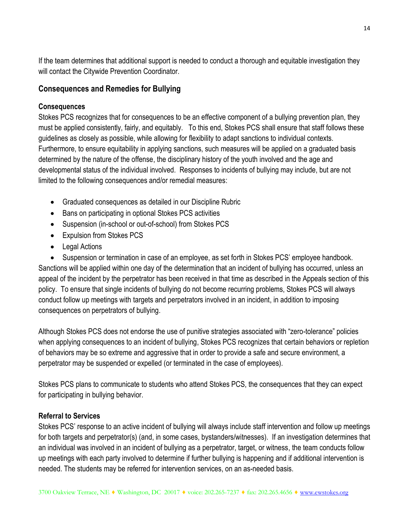If the team determines that additional support is needed to conduct a thorough and equitable investigation they will contact the Citywide Prevention Coordinator.

#### **Consequences and Remedies for Bullying**

#### **Consequences**

Stokes PCS recognizes that for consequences to be an effective component of a bullying prevention plan, they must be applied consistently, fairly, and equitably. To this end, Stokes PCS shall ensure that staff follows these guidelines as closely as possible, while allowing for flexibility to adapt sanctions to individual contexts. Furthermore, to ensure equitability in applying sanctions, such measures will be applied on a graduated basis determined by the nature of the offense, the disciplinary history of the youth involved and the age and developmental status of the individual involved. Responses to incidents of bullying may include, but are not limited to the following consequences and/or remedial measures:

- Graduated consequences as detailed in our Discipline Rubric
- Bans on participating in optional Stokes PCS activities
- Suspension (in-school or out-of-school) from Stokes PCS
- Expulsion from Stokes PCS
- Legal Actions

 Suspension or termination in case of an employee, as set forth in Stokes PCS' employee handbook. Sanctions will be applied within one day of the determination that an incident of bullying has occurred, unless an appeal of the incident by the perpetrator has been received in that time as described in the Appeals section of this policy. To ensure that single incidents of bullying do not become recurring problems, Stokes PCS will always conduct follow up meetings with targets and perpetrators involved in an incident, in addition to imposing consequences on perpetrators of bullying.

Although Stokes PCS does not endorse the use of punitive strategies associated with "zero-tolerance" policies when applying consequences to an incident of bullying, Stokes PCS recognizes that certain behaviors or repletion of behaviors may be so extreme and aggressive that in order to provide a safe and secure environment, a perpetrator may be suspended or expelled (or terminated in the case of employees).

Stokes PCS plans to communicate to students who attend Stokes PCS, the consequences that they can expect for participating in bullying behavior.

#### **Referral to Services**

Stokes PCS' response to an active incident of bullying will always include staff intervention and follow up meetings for both targets and perpetrator(s) (and, in some cases, bystanders/witnesses). If an investigation determines that an individual was involved in an incident of bullying as a perpetrator, target, or witness, the team conducts follow up meetings with each party involved to determine if further bullying is happening and if additional intervention is needed. The students may be referred for intervention services, on an as-needed basis.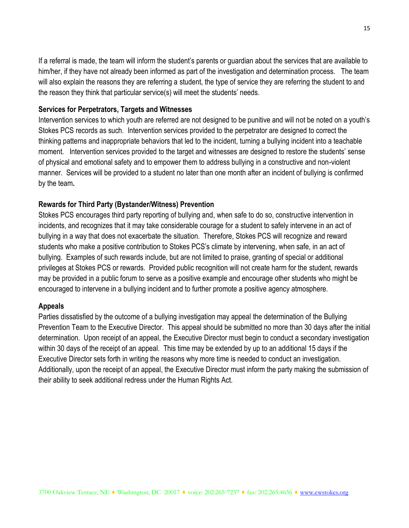If a referral is made, the team will inform the student's parents or guardian about the services that are available to him/her, if they have not already been informed as part of the investigation and determination process. The team will also explain the reasons they are referring a student, the type of service they are referring the student to and the reason they think that particular service(s) will meet the students' needs.

#### **Services for Perpetrators, Targets and Witnesses**

Intervention services to which youth are referred are not designed to be punitive and will not be noted on a youth's Stokes PCS records as such. Intervention services provided to the perpetrator are designed to correct the thinking patterns and inappropriate behaviors that led to the incident, turning a bullying incident into a teachable moment. Intervention services provided to the target and witnesses are designed to restore the students' sense of physical and emotional safety and to empower them to address bullying in a constructive and non-violent manner. Services will be provided to a student no later than one month after an incident of bullying is confirmed by the team**.**

#### **Rewards for Third Party (Bystander/Witness) Prevention**

Stokes PCS encourages third party reporting of bullying and, when safe to do so, constructive intervention in incidents, and recognizes that it may take considerable courage for a student to safely intervene in an act of bullying in a way that does not exacerbate the situation. Therefore, Stokes PCS will recognize and reward students who make a positive contribution to Stokes PCS's climate by intervening, when safe, in an act of bullying. Examples of such rewards include, but are not limited to praise, granting of special or additional privileges at Stokes PCS or rewards. Provided public recognition will not create harm for the student, rewards may be provided in a public forum to serve as a positive example and encourage other students who might be encouraged to intervene in a bullying incident and to further promote a positive agency atmosphere.

#### **Appeals**

Parties dissatisfied by the outcome of a bullying investigation may appeal the determination of the Bullying Prevention Team to the Executive Director. This appeal should be submitted no more than 30 days after the initial determination. Upon receipt of an appeal, the Executive Director must begin to conduct a secondary investigation within 30 days of the receipt of an appeal. This time may be extended by up to an additional 15 days if the Executive Director sets forth in writing the reasons why more time is needed to conduct an investigation. Additionally, upon the receipt of an appeal, the Executive Director must inform the party making the submission of their ability to seek additional redress under the Human Rights Act.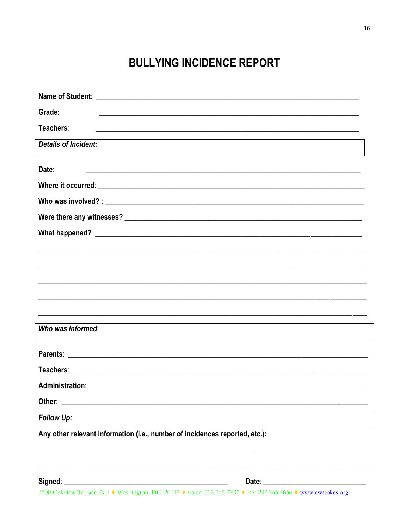## **BULLYING INCIDENCE REPORT**

| Grade:                                                                                                                            |  |  |  |  |
|-----------------------------------------------------------------------------------------------------------------------------------|--|--|--|--|
| Teachers:<br><u> 1989 - Jan James James James James James James James James James James James James James James James James J</u> |  |  |  |  |
| <b>Details of Incident:</b>                                                                                                       |  |  |  |  |
| Date:                                                                                                                             |  |  |  |  |
|                                                                                                                                   |  |  |  |  |
|                                                                                                                                   |  |  |  |  |
|                                                                                                                                   |  |  |  |  |
|                                                                                                                                   |  |  |  |  |
|                                                                                                                                   |  |  |  |  |
|                                                                                                                                   |  |  |  |  |
|                                                                                                                                   |  |  |  |  |
|                                                                                                                                   |  |  |  |  |
| <u> 1989 - Johann Harry Harry Harry Harry Harry Harry Harry Harry Harry Harry Harry Harry Harry Harry Harry Harry</u>             |  |  |  |  |
| Who was Informed:                                                                                                                 |  |  |  |  |
|                                                                                                                                   |  |  |  |  |
|                                                                                                                                   |  |  |  |  |
| Administration:                                                                                                                   |  |  |  |  |
| Other:<br><u> 1980 - Johann Barn, margaret eta biztanleria (h. 1980).</u>                                                         |  |  |  |  |
| Follow Up:                                                                                                                        |  |  |  |  |
| Any other relevant information (i.e., number of incidences reported, etc.):                                                       |  |  |  |  |
|                                                                                                                                   |  |  |  |  |
| Signed:<br>Date: $\overline{\phantom{a}}$                                                                                         |  |  |  |  |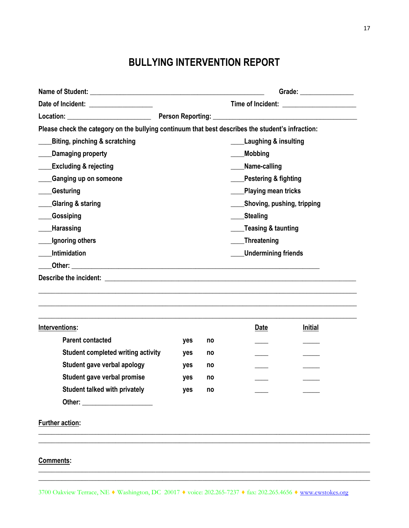### **BULLYING INTERVENTION REPORT**

|                                                                                                                                                                                                                                |                                                   | Grade: _________________ |                                                                                                                                                       |                |  |  |  |
|--------------------------------------------------------------------------------------------------------------------------------------------------------------------------------------------------------------------------------|---------------------------------------------------|--------------------------|-------------------------------------------------------------------------------------------------------------------------------------------------------|----------------|--|--|--|
| Date of Incident: ___________________                                                                                                                                                                                          |                                                   |                          |                                                                                                                                                       |                |  |  |  |
|                                                                                                                                                                                                                                |                                                   |                          |                                                                                                                                                       |                |  |  |  |
| Please check the category on the bullying continuum that best describes the student's infraction:                                                                                                                              |                                                   |                          |                                                                                                                                                       |                |  |  |  |
| <b>Biting, pinching &amp; scratching</b>                                                                                                                                                                                       | <b>Laughing &amp; insulting</b><br><b>Mobbing</b> |                          |                                                                                                                                                       |                |  |  |  |
| Damaging property                                                                                                                                                                                                              |                                                   |                          |                                                                                                                                                       |                |  |  |  |
| <b>Excluding &amp; rejecting</b>                                                                                                                                                                                               |                                                   |                          | Name-calling<br><b>Pestering &amp; fighting</b><br>Playing mean tricks<br>Shoving, pushing, tripping<br>____Stealing<br><b>Teasing &amp; taunting</b> |                |  |  |  |
| <b>Ganging up on someone</b>                                                                                                                                                                                                   |                                                   |                          |                                                                                                                                                       |                |  |  |  |
| <b>Gesturing</b>                                                                                                                                                                                                               |                                                   |                          |                                                                                                                                                       |                |  |  |  |
| <b>Glaring &amp; staring</b>                                                                                                                                                                                                   |                                                   |                          |                                                                                                                                                       |                |  |  |  |
| <b>Gossiping</b>                                                                                                                                                                                                               |                                                   |                          |                                                                                                                                                       |                |  |  |  |
| <b>Harassing</b>                                                                                                                                                                                                               |                                                   |                          |                                                                                                                                                       |                |  |  |  |
| Ignoring others                                                                                                                                                                                                                |                                                   | ____Threatening          |                                                                                                                                                       |                |  |  |  |
| Intimidation                                                                                                                                                                                                                   |                                                   |                          | <b>Undermining friends</b>                                                                                                                            |                |  |  |  |
|                                                                                                                                                                                                                                |                                                   |                          |                                                                                                                                                       |                |  |  |  |
| Describe the incident: the contract of the contract of the contract of the contract of the contract of the contract of the contract of the contract of the contract of the contract of the contract of the contract of the con |                                                   |                          |                                                                                                                                                       |                |  |  |  |
|                                                                                                                                                                                                                                |                                                   |                          |                                                                                                                                                       |                |  |  |  |
| Interventions:                                                                                                                                                                                                                 |                                                   |                          | Date                                                                                                                                                  | <b>Initial</b> |  |  |  |
| <b>Parent contacted</b>                                                                                                                                                                                                        | yes                                               | no                       |                                                                                                                                                       |                |  |  |  |
| Student completed writing activity                                                                                                                                                                                             | yes                                               | no                       |                                                                                                                                                       |                |  |  |  |
| Student gave verbal apology                                                                                                                                                                                                    | yes                                               | no                       |                                                                                                                                                       |                |  |  |  |
| Student gave verbal promise                                                                                                                                                                                                    | yes                                               | no                       |                                                                                                                                                       |                |  |  |  |
| <b>Student talked with privately</b>                                                                                                                                                                                           | yes                                               | no                       |                                                                                                                                                       |                |  |  |  |
| Other: and the contract of the contract of the contract of the contract of the contract of the contract of the                                                                                                                 |                                                   |                          |                                                                                                                                                       |                |  |  |  |
| <b>Further action:</b>                                                                                                                                                                                                         |                                                   |                          |                                                                                                                                                       |                |  |  |  |
|                                                                                                                                                                                                                                |                                                   |                          |                                                                                                                                                       |                |  |  |  |
| Comments:                                                                                                                                                                                                                      |                                                   |                          |                                                                                                                                                       |                |  |  |  |

\_\_\_\_\_\_\_\_\_\_\_\_\_\_\_\_\_\_\_\_\_\_\_\_\_\_\_\_\_\_\_\_\_\_\_\_\_\_\_\_\_\_\_\_\_\_\_\_\_\_\_\_\_\_\_\_\_\_\_\_\_\_\_\_\_\_\_\_\_\_\_\_\_\_\_\_\_\_\_\_\_\_\_\_\_\_\_\_\_\_\_\_\_\_\_\_\_\_\_ \_\_\_\_\_\_\_\_\_\_\_\_\_\_\_\_\_\_\_\_\_\_\_\_\_\_\_\_\_\_\_\_\_\_\_\_\_\_\_\_\_\_\_\_\_\_\_\_\_\_\_\_\_\_\_\_\_\_\_\_\_\_\_\_\_\_\_\_\_\_\_\_\_\_\_\_\_\_\_\_\_\_\_\_\_\_\_\_\_\_\_\_\_\_\_\_\_\_\_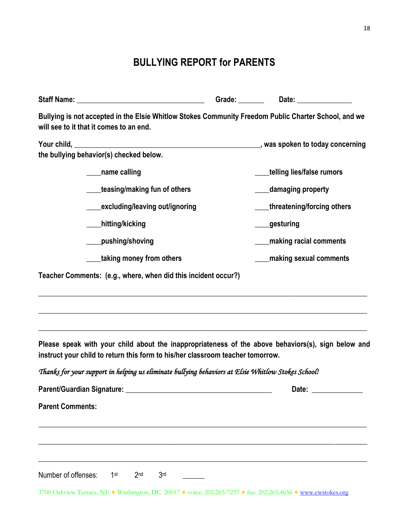## **BULLYING REPORT for PARENTS**

|                                                                                                                                                                                      | Grade: _________ Date: _______________ |
|--------------------------------------------------------------------------------------------------------------------------------------------------------------------------------------|----------------------------------------|
| Bullying is not accepted in the Elsie Whitlow Stokes Community Freedom Public Charter School, and we<br>will see to it that it comes to an end.                                      |                                        |
| the bullying behavior(s) checked below.                                                                                                                                              |                                        |
| _____name calling                                                                                                                                                                    | telling lies/false rumors              |
| teasing/making fun of others                                                                                                                                                         | damaging property                      |
| excluding/leaving out/ignoring                                                                                                                                                       | threatening/forcing others             |
| hitting/kicking_                                                                                                                                                                     | _gesturing                             |
| pushing/shoving                                                                                                                                                                      | making racial comments                 |
| taking money from others                                                                                                                                                             | making sexual comments                 |
| Teacher Comments: (e.g., where, when did this incident occur?)                                                                                                                       |                                        |
| Please speak with your child about the inappropriateness of the above behaviors(s), sign below and<br>instruct your child to return this form to his/her classroom teacher tomorrow. |                                        |
| Thanks for your support in helping us eliminate bullying behaviors at Elsie Whitlow Stokes School!                                                                                   |                                        |
|                                                                                                                                                                                      | Date:                                  |
| <b>Parent Comments:</b>                                                                                                                                                              |                                        |
| Number of offenses:<br>1 <sup>st</sup><br>2 <sub>nd</sub><br>3 <sub>rd</sub>                                                                                                         |                                        |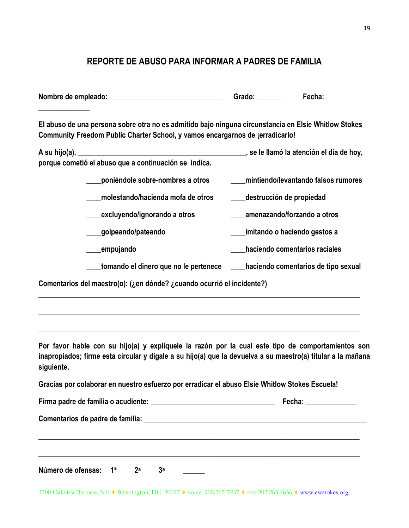#### **REPORTE DE ABUSO PARA INFORMAR A PADRES DE FAMILIA**

| Nombre de empleado: | Grado: |  |  |
|---------------------|--------|--|--|
|                     |        |  |  |

**El abuso de una persona sobre otra no es admitido bajo ninguna circunstancia en Elsie Whitlow Stokes Community Freedom Public Charter School, y vamos encargarnos de ¡erradicarlo!**

| A su hijo(a),                                         | , se le llamó la atención el día de hoy, |
|-------------------------------------------------------|------------------------------------------|
| porque cometió el abuso que a continuación se indica. |                                          |
|                                                       |                                          |

- **\_\_\_\_poniéndole sobre-nombres a otros \_\_\_\_mintiendo/levantando falsos rumores \_\_\_\_molestando/hacienda mofa de otros \_\_\_\_destrucción de propiedad**
- **\_\_\_\_excluyendo/ignorando a otros \_\_\_\_amenazando/forzando a otros**
	- **\_\_\_\_golpeando/pateando \_\_\_\_imitando o haciendo gestos a**
	- **\_\_\_\_empujando \_\_\_\_haciendo comentarios raciales**
	- **\_\_\_\_tomando el dinero que no le pertenece \_\_\_\_haciendo comentarios de tipo sexual**

**Comentarios del maestro(o): (¿en dónde? ¿cuando ocurrió el incidente?)** 

**Por favor hable con su hijo(a) y explíquele la razón por la cual este tipo de comportamientos son inapropiados; firme esta circular y dígale a su hijo(a) que la devuelva a su maestro(a) titular a la mañana siguiente.**

\_\_\_\_\_\_\_\_\_\_\_\_\_\_\_\_\_\_\_\_\_\_\_\_\_\_\_\_\_\_\_\_\_\_\_\_\_\_\_\_\_\_\_\_\_\_\_\_\_\_\_\_\_\_\_\_\_\_\_\_\_\_\_\_\_\_\_\_\_\_\_\_\_\_\_\_\_\_\_\_\_\_\_\_\_\_\_\_

\_\_\_\_\_\_\_\_\_\_\_\_\_\_\_\_\_\_\_\_\_\_\_\_\_\_\_\_\_\_\_\_\_\_\_\_\_\_\_\_\_\_\_\_\_\_\_\_\_\_\_\_\_\_\_\_\_\_\_\_\_\_\_\_\_\_\_\_\_\_\_\_\_\_\_\_\_\_\_\_\_\_\_\_\_\_\_\_

\_\_\_\_\_\_\_\_\_\_\_\_\_\_\_\_\_\_\_\_\_\_\_\_\_\_\_\_\_\_\_\_\_\_\_\_\_\_\_\_\_\_\_\_\_\_\_\_\_\_\_\_\_\_\_\_\_\_\_\_\_\_\_\_\_\_\_\_\_\_\_\_\_\_\_\_\_\_\_\_\_\_\_\_\_\_\_\_

**Gracias por colaborar en nuestro esfuerzo por erradicar el abuso Elsie Whitlow Stokes Escuela!**

|                                                  |  |  |                |  | Fecha: ______________ |  |
|--------------------------------------------------|--|--|----------------|--|-----------------------|--|
|                                                  |  |  |                |  |                       |  |
|                                                  |  |  |                |  |                       |  |
|                                                  |  |  |                |  |                       |  |
| Número de ofensas: 1 <sup>a</sup> 2 <sup>a</sup> |  |  | 3 <sup>a</sup> |  |                       |  |